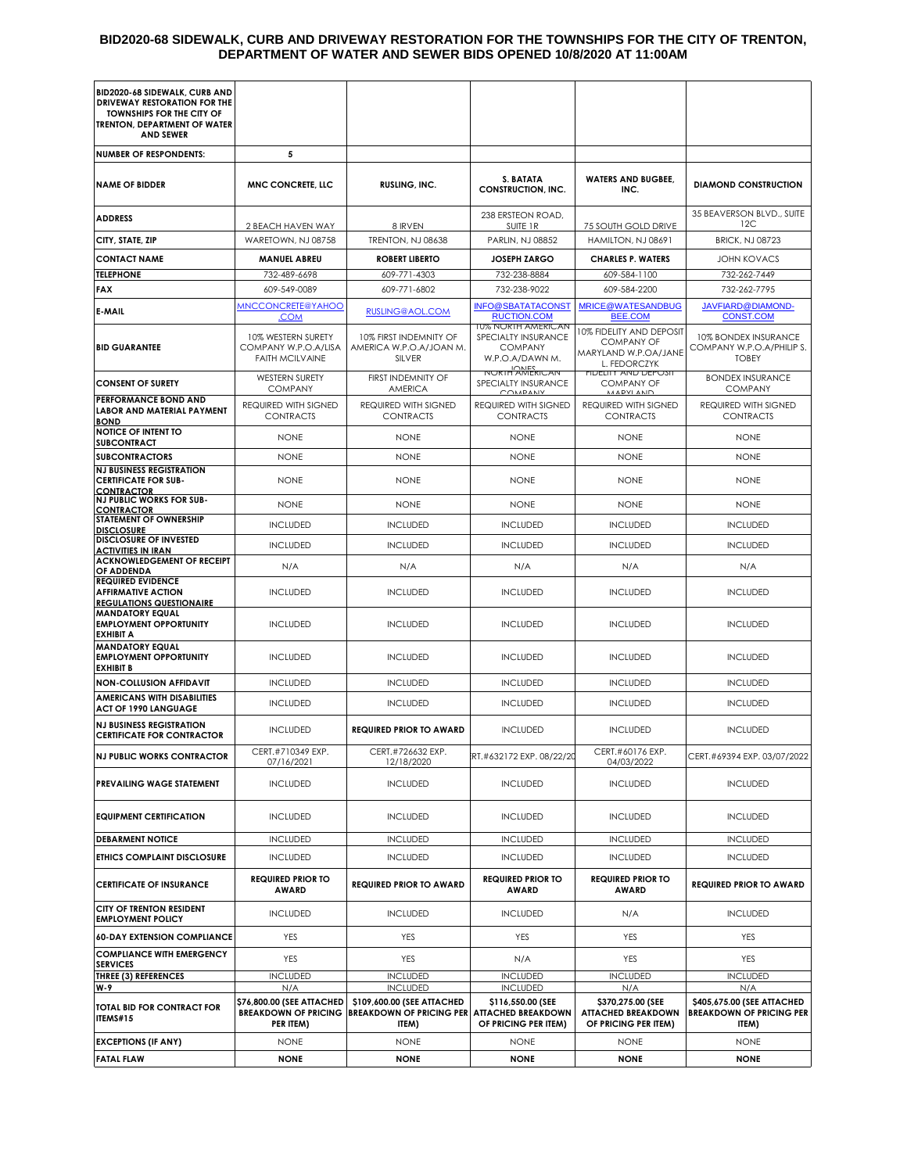#### **BID2020-68 SIDEWALK, CURB AND DRIVEWAY RESTORATION FOR THE TOWNSHIPS FOR THE CITY OF TRENTON, DEPARTMENT OF WATER AND SEWER BIDS OPENED 10/8/2020 AT 11:00AM**

| BID2020-68 SIDEWALK, CURB AND                                                                                               |                                                                       |                                                                        |                                                                                       |                                                                                       |                                                                        |
|-----------------------------------------------------------------------------------------------------------------------------|-----------------------------------------------------------------------|------------------------------------------------------------------------|---------------------------------------------------------------------------------------|---------------------------------------------------------------------------------------|------------------------------------------------------------------------|
| DRIVEWAY RESTORATION FOR THE<br><b>TOWNSHIPS FOR THE CITY OF</b><br><b>TRENTON, DEPARTMENT OF WATER</b><br><b>AND SEWER</b> |                                                                       |                                                                        |                                                                                       |                                                                                       |                                                                        |
| <b>NUMBER OF RESPONDENTS:</b>                                                                                               | 5                                                                     |                                                                        |                                                                                       |                                                                                       |                                                                        |
| <b>NAME OF BIDDER</b>                                                                                                       | <b>MNC CONCRETE, LLC</b>                                              | RUSLING, INC.                                                          | S. BATATA<br><b>CONSTRUCTION, INC.</b>                                                | <b>WATERS AND BUGBEE,</b><br>INC.                                                     | <b>DIAMOND CONSTRUCTION</b>                                            |
| <b>ADDRESS</b>                                                                                                              |                                                                       |                                                                        | 238 ERSTEON ROAD,                                                                     |                                                                                       | 35 BEAVERSON BLVD., SUITE                                              |
| CITY, STATE, ZIP                                                                                                            | 2 BEACH HAVEN WAY<br>WARETOWN, NJ 08758                               | 8 IRVEN<br>TRENTON, NJ 08638                                           | SUITE 1R<br>PARLIN, NJ 08852                                                          | 75 SOUTH GOLD DRIVE<br>HAMILTON, NJ 08691                                             | 12C<br><b>BRICK, NJ 08723</b>                                          |
| <b>CONTACT NAME</b>                                                                                                         | <b>MANUEL ABREU</b>                                                   | <b>ROBERT LIBERTO</b>                                                  | <b>JOSEPH ZARGO</b>                                                                   | <b>CHARLES P. WATERS</b>                                                              | <b>JOHN KOVACS</b>                                                     |
| <b>TELEPHONE</b>                                                                                                            | 732-489-6698                                                          | 609-771-4303                                                           | 732-238-8884                                                                          | 609-584-1100                                                                          | 732-262-7449                                                           |
| <b>FAX</b>                                                                                                                  | 609-549-0089                                                          | 609-771-6802                                                           | 732-238-9022                                                                          | 609-584-2200                                                                          | 732-262-7795                                                           |
| E-MAIL                                                                                                                      | <b>MNCCONCRETE@YAHOO</b><br><u>.COM</u>                               | RUSLING@AOL.COM                                                        | <b>INFO@SBATATACONST</b><br><b>RUCTION.COM</b>                                        | <b>MRICE@WATESANDBUG</b><br>BEE.COM                                                   | JAVFIARD@DIAMOND-<br><b>CONST.COM</b>                                  |
| <b>BID GUARANTEE</b>                                                                                                        | 10% WESTERN SURETY<br>COMPANY W.P.O.A/LISA<br><b>FAITH MCILVAINE</b>  | 10% FIRST INDEMNITY OF<br>AMERICA W.P.O.A/JOAN M.<br><b>SILVER</b>     | <b>10% NORTH AMERICAN</b><br>SPECIALTY INSURANCE<br><b>COMPANY</b><br>W.P.O.A/DAWN M. | 10% FIDELITY AND DEPOSIT<br><b>COMPANY OF</b><br>MARYLAND W.P.OA/JANE<br>L. FEDORCZYK | 10% BONDEX INSURANCE<br>COMPANY W.P.O.A/PHILIP S.<br><b>TOBEY</b>      |
| <b>CONSENT OF SURETY</b>                                                                                                    | <b>WESTERN SURETY</b><br><b>COMPANY</b>                               | FIRST INDEMNITY OF<br><b>AMERICA</b>                                   | <b>NORTH AMERICAN</b><br>SPECIALTY INSURANCE<br>COMADANV                              | <b>HDELITY AND DEPOSIT</b><br><b>COMPANY OF</b><br>MADVI AND                          | <b>BONDEX INSURANCE</b><br><b>COMPANY</b>                              |
| PERFORMANCE BOND AND<br><b>LABOR AND MATERIAL PAYMENT</b><br><b>BOND</b>                                                    | REQUIRED WITH SIGNED<br><b>CONTRACTS</b>                              | REQUIRED WITH SIGNED<br><b>CONTRACTS</b>                               | REQUIRED WITH SIGNED<br><b>CONTRACTS</b>                                              | REQUIRED WITH SIGNED<br><b>CONTRACTS</b>                                              | REQUIRED WITH SIGNED<br><b>CONTRACTS</b>                               |
| <b>NOTICE OF INTENT TO</b><br><b>SUBCONTRACT</b>                                                                            | <b>NONE</b>                                                           | <b>NONE</b>                                                            | <b>NONE</b>                                                                           | <b>NONE</b>                                                                           | <b>NONE</b>                                                            |
| <b>SUBCONTRACTORS</b>                                                                                                       | <b>NONE</b>                                                           | <b>NONE</b>                                                            | <b>NONE</b>                                                                           | <b>NONE</b>                                                                           | <b>NONE</b>                                                            |
| <b>NJ BUSINESS REGISTRATION</b><br><b>CERTIFICATE FOR SUB-</b><br><b>CONTRACTOR</b>                                         | <b>NONF</b>                                                           | <b>NONE</b>                                                            | <b>NONE</b>                                                                           | <b>NONE</b>                                                                           | <b>NONE</b>                                                            |
| <b>NJ PUBLIC WORKS FOR SUB-</b><br><b>CONTRACTOR</b>                                                                        | <b>NONE</b>                                                           | <b>NONE</b>                                                            | <b>NONE</b>                                                                           | <b>NONE</b>                                                                           | <b>NONE</b>                                                            |
| <b>STATEMENT OF OWNERSHIP</b><br><b>DISCLOSURE</b>                                                                          | <b>INCLUDED</b>                                                       | <b>INCLUDED</b>                                                        | <b>INCLUDED</b>                                                                       | <b>INCLUDED</b>                                                                       | <b>INCLUDED</b>                                                        |
| <b>DISCLOSURE OF INVESTED</b><br><b>ACTIVITIES IN IRAN</b>                                                                  | <b>INCLUDED</b>                                                       | <b>INCLUDED</b>                                                        | <b>INCLUDED</b>                                                                       | <b>INCLUDED</b>                                                                       | <b>INCLUDED</b>                                                        |
| <b>ACKNOWLEDGEMENT OF RECEIPT</b><br>OF ADDENDA                                                                             | N/A                                                                   | N/A                                                                    | N/A                                                                                   | N/A                                                                                   | N/A                                                                    |
| <b>REQUIRED EVIDENCE</b><br><b>AFFIRMATIVE ACTION</b><br><b>REGULATIONS QUESTIONAIRE</b>                                    | <b>INCLUDED</b>                                                       | <b>INCLUDED</b>                                                        | <b>INCLUDED</b>                                                                       | <b>INCLUDED</b>                                                                       | <b>INCLUDED</b>                                                        |
| <b>MANDATORY EQUAL</b><br><b>EMPLOYMENT OPPORTUNITY</b><br><b>EXHIBIT A</b>                                                 | <b>INCLUDED</b>                                                       | <b>INCLUDED</b>                                                        | <b>INCLUDED</b>                                                                       | <b>INCLUDED</b>                                                                       | <b>INCLUDED</b>                                                        |
| <b>MANDATORY EQUAL</b><br><b>EMPLOYMENT OPPORTUNITY</b><br><b>EXHIBIT B</b>                                                 | <b>INCLUDED</b>                                                       | <b>INCLUDED</b>                                                        | <b>INCLUDED</b>                                                                       | <b>INCLUDED</b>                                                                       | <b>INCLUDED</b>                                                        |
| <b>NON-COLLUSION AFFIDAVIT</b>                                                                                              | <b>INCLUDED</b>                                                       | <b>INCLUDED</b>                                                        | <b>INCLUDED</b>                                                                       | <b>INCLUDED</b>                                                                       | <b>INCLUDED</b>                                                        |
| <b>AMERICANS WITH DISABILITIES</b><br><b>ACT OF 1990 LANGUAGE</b>                                                           | <b>INCLUDED</b>                                                       | <b>INCLUDED</b>                                                        | <b>INCLUDED</b>                                                                       | <b>INCLUDED</b>                                                                       | <b>INCLUDED</b>                                                        |
| <b>NJ BUSINESS REGISTRATION</b><br><b>CERTIFICATE FOR CONTRACTOR</b>                                                        | <b>INCLUDED</b>                                                       | <b>REQUIRED PRIOR TO AWARD</b>                                         | <b>INCLUDED</b>                                                                       | <b>INCLUDED</b>                                                                       | <b>INCLUDED</b>                                                        |
| <b>NJ PUBLIC WORKS CONTRACTOR</b>                                                                                           | CERT.#710349 EXP.<br>07/16/2021                                       | CERT.#726632 EXP.<br>12/18/2020                                        | RT.#632172 EXP. 08/22/20                                                              | CERT.#60176 EXP.<br>04/03/2022                                                        | CERT.#69394 EXP. 03/07/2022                                            |
| <b>PREVAILING WAGE STATEMENT</b>                                                                                            | <b>INCLUDED</b>                                                       | <b>INCLUDED</b>                                                        | <b>INCLUDED</b>                                                                       | <b>INCLUDED</b>                                                                       | <b>INCLUDED</b>                                                        |
| <b>EQUIPMENT CERTIFICATION</b>                                                                                              | <b>INCLUDED</b>                                                       | <b>INCLUDED</b>                                                        | <b>INCLUDED</b>                                                                       | <b>INCLUDED</b>                                                                       | <b>INCLUDED</b>                                                        |
| <b>DEBARMENT NOTICE</b>                                                                                                     | <b>INCLUDED</b>                                                       | <b>INCLUDED</b>                                                        | <b>INCLUDED</b>                                                                       | <b>INCLUDED</b>                                                                       | <b>INCLUDED</b>                                                        |
| ETHICS COMPLAINT DISCLOSURE                                                                                                 | <b>INCLUDED</b>                                                       | <b>INCLUDED</b>                                                        | <b>INCLUDED</b>                                                                       | <b>INCLUDED</b>                                                                       | <b>INCLUDED</b>                                                        |
| <b>CERTIFICATE OF INSURANCE</b>                                                                                             | <b>REQUIRED PRIOR TO</b><br><b>AWARD</b>                              | <b>REQUIRED PRIOR TO AWARD</b>                                         | <b>REQUIRED PRIOR TO</b><br><b>AWARD</b>                                              | <b>REQUIRED PRIOR TO</b><br>AWARD                                                     | <b>REQUIRED PRIOR TO AWARD</b>                                         |
| <b>CITY OF TRENTON RESIDENT</b><br><b>EMPLOYMENT POLICY</b>                                                                 | <b>INCLUDED</b>                                                       | <b>INCLUDED</b>                                                        | <b>INCLUDED</b>                                                                       | N/A                                                                                   | <b>INCLUDED</b>                                                        |
| <b>60-DAY EXTENSION COMPLIANCE</b>                                                                                          | <b>YES</b>                                                            | YES                                                                    | <b>YES</b>                                                                            | YES                                                                                   | YES                                                                    |
| <b>COMPLIANCE WITH EMERGENCY</b><br><b>SERVICES</b>                                                                         | <b>YES</b>                                                            | YES                                                                    | N/A                                                                                   | YES                                                                                   | <b>YES</b>                                                             |
| THREE (3) REFERENCES<br>W-9                                                                                                 | <b>INCLUDED</b><br>N/A                                                | <b>INCLUDED</b><br><b>INCLUDED</b>                                     | <b>INCLUDED</b><br><b>INCLUDED</b>                                                    | <b>INCLUDED</b><br>N/A                                                                | <b>INCLUDED</b><br>N/A                                                 |
| <b>TOTAL BID FOR CONTRACT FOR</b><br>ITEMS#15                                                                               | \$76,800.00 (SEE ATTACHED<br><b>BREAKDOWN OF PRICING</b><br>PER ITEM) | \$109,600.00 (SEE ATTACHED<br><b>BREAKDOWN OF PRICING PER</b><br>ITEM) | \$116,550.00 (SEE<br><b>ATTACHED BREAKDOWN</b><br>OF PRICING PER ITEM)                | \$370,275.00 (SEE<br><b>ATTACHED BREAKDOWN</b><br>OF PRICING PER ITEM)                | \$405,675.00 (SEE ATTACHED<br><b>BREAKDOWN OF PRICING PER</b><br>ITEM) |
| <b>EXCEPTIONS (IF ANY)</b>                                                                                                  | <b>NONE</b>                                                           | <b>NONE</b>                                                            | <b>NONE</b>                                                                           | <b>NONE</b>                                                                           | <b>NONE</b>                                                            |
| <b>FATAL FLAW</b>                                                                                                           | <b>NONE</b>                                                           | <b>NONE</b>                                                            | <b>NONE</b>                                                                           | <b>NONE</b>                                                                           | <b>NONE</b>                                                            |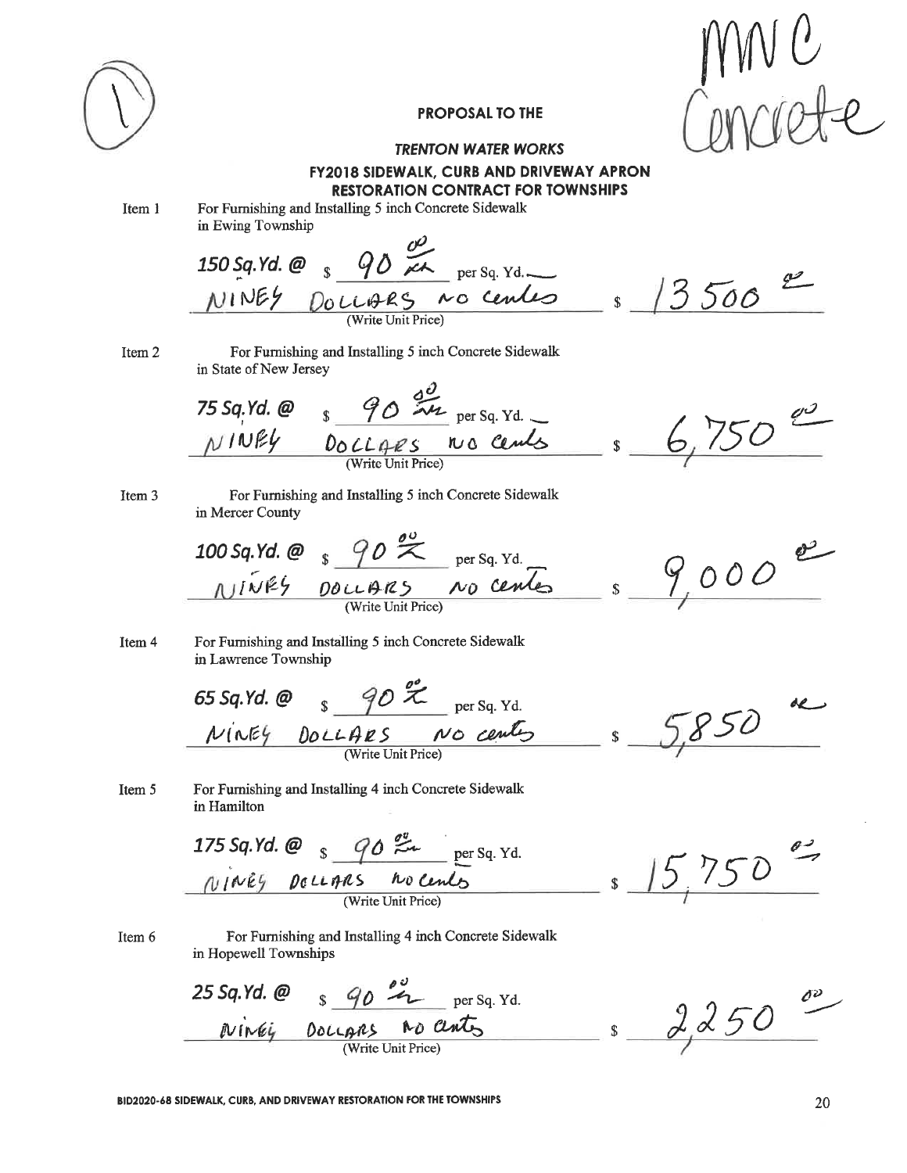

### **TRENTON WATER WORKS FY2018 SIDEWALK, CURB AND DRIVEWAY APRON RESTORATION CONTRACT FOR TOWNSHIPS**

Item 1

For Furnishing and Installing 5 inch Concrete Sidewalk in Ewing Township

 $3500$ 

Item 2

For Furnishing and Installing 5 inch Concrete Sidewalk in State of New Jersey

75 Sq. Yd. @  $\frac{90}{24}$  per Sq. Yd. \_ 6, 750 em

Item 3

For Furnishing and Installing 5 inch Concrete Sidewalk in Mercer County

100 Sq. Yd. @  $\frac{90}{x}$  per Sq. Yd.<br>
NIWES DOLLARS NO Center \$  $e$  $9000$ 

Item 4 For Furnishing and Installing 5 inch Concrete Sidewalk in Lawrence Township

65 Sq.Yd. @  $\frac{90}{x}$  per Sq. Yd.  $850$ NINEY DOLLARS NO Centes  $\mathbf{\hat{S}}$ 

For Furnishing and Installing 4 inch Concrete Sidewalk Item 5 in Hamilton

175 Sq. Yd. @  $\frac{90}{24}$  per Sq. Yd.<br> *NINES* De LLARS ho Cents  $15.750$ 

Item 6

For Furnishing and Installing 4 inch Concrete Sidewalk in Hopewell Townships

25 Sq. Yd. @  $\frac{90}{4}$   $\frac{25}{4}$  per Sq. Yd. Niney Docupas no ants s 2250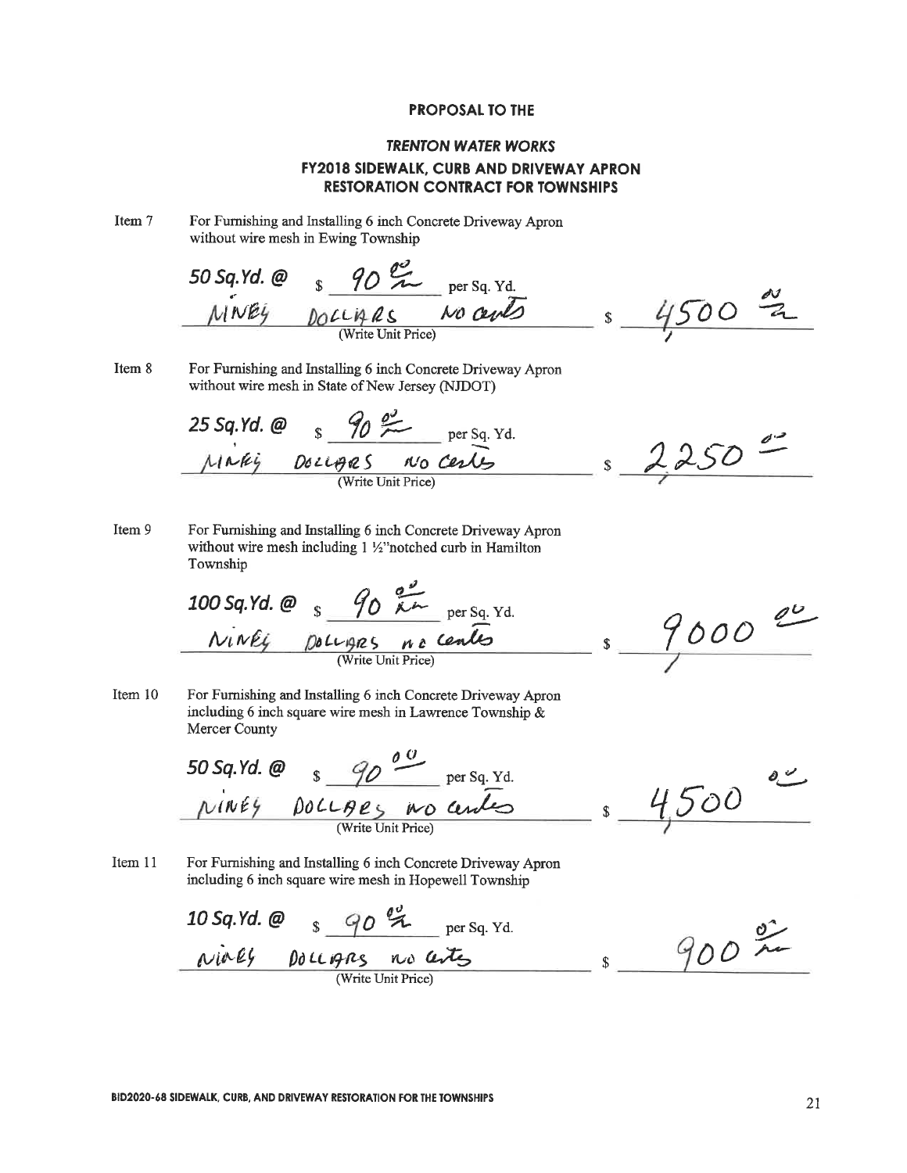## **TRENTON WATER WORKS FY2018 SIDEWALK, CURB AND DRIVEWAY APRON RESTORATION CONTRACT FOR TOWNSHIPS**

Item 7 For Furnishing and Installing 6 inch Concrete Driveway Apron without wire mesh in Ewing Township

50 sq.Yd. @ 
$$
\underbrace{\frac{90}{24}}_{\text{(Write Unit Price)}} \underbrace{\text{per sq. Yd.}}_{\text{(Write Unit Price)}} \underbrace{\text{per sq. Yd.}}_{\text{4500}} = \underbrace{\frac{60}{24}}_{\text{500}} = \underbrace{\frac{60}{24}}_{\text{600}} = \underbrace{\frac{60}{24}}_{\text{600}} = \underbrace{\frac{60}{24}}_{\text{600}} = \underbrace{\frac{60}{24}}_{\text{600}} = \underbrace{\frac{60}{24}}_{\text{600}} = \underbrace{\frac{60}{24}}_{\text{600}} = \underbrace{\frac{60}{24}}_{\text{600}} = \underbrace{\frac{60}{24}}_{\text{600}} = \underbrace{\frac{60}{24}}_{\text{600}} = \underbrace{\frac{60}{24}}_{\text{600}} = \underbrace{\frac{60}{24}}_{\text{600}} = \underbrace{\frac{60}{24}}_{\text{600}} = \underbrace{\frac{60}{24}}_{\text{600}} = \underbrace{\frac{60}{24}}_{\text{600}} = \underbrace{\frac{60}{24}}_{\text{600}} = \underbrace{\frac{60}{24}}_{\text{600}} = \underbrace{\frac{60}{24}}_{\text{600}} = \underbrace{\frac{60}{24}}_{\text{600}} = \underbrace{\frac{60}{24}}_{\text{600}} = \underbrace{\frac{60}{24}}_{\text{600}} = \underbrace{\frac{60}{24}}_{\text{600}} = \underbrace{\frac{60}{24}}_{\text{600}} = \underbrace{\frac{60}{24}}_{\text{600}} = \underbrace{\frac{60}{24}}_{\text{600}} = \underbrace{\frac{60}{24}}_{\text{600}} = \underbrace{\frac{60}{24}}_{\text{600}} = \underbrace{\frac{60}{24}}_{\text{600}} = \underbrace{\frac{60}{24}}_{\text{600}} = \underbrace{\frac{60}{24}}_{\text{600}} = \underbrace{\frac{60}{24}}_{\text{600}} = \underbrace{\frac{60}{24}}_{\text{600}} = \underbrace{\frac{60}{24}}_{\text{6
$$

Item 8 For Furnishing and Installing 6 inch Concrete Driveway Apron without wire mesh in State of New Jersey (NJDOT)

25 Sq.Yd. @ 
$$
g_0 \frac{\partial g}{\partial x}
$$
 per Sq.Yd.  
\n $\mu_1 \lambda \mu_2$  Dozups on to cells  
\n(Write Unit Price)

Item 9 For Furnishing and Installing 6 inch Concrete Driveway Apron without wire mesh including 1 1/2" notched curb in Hamilton Township

100 sq.Yd. @ 
$$
\frac{90 \cancel{61}}{100 \cancel{611}} \text{ per Sq. Yd.}
$$
  
\n
$$
\frac{N_1 \cancel{111}}{N_1 \cancel{611}} \frac{100 \cancel{1011}}{N_1 \cancel{6111}} \frac{100 \cancel{6111}}{N_1 \cancel{6111}} \text{ Price}
$$

 $9000$  $-1$  s

δĆ

Item 10 For Furnishing and Installing 6 inch Concrete Driveway Apron including 6 inch square wire mesh in Lawrence Township  $\&$ Mercer County

50 sq.Yd. @ 
$$
\frac{90}{8} \frac{\frac{90}{100}}{\frac{90}{200}} = \frac{134}{100}
$$

Item 11 For Furnishing and Installing 6 inch Concrete Driveway Apron including 6 inch square wire mesh in Hopewell Township

10 Sq. Yd. @ \$ 90 % per Sq. Yd.<br>
Nialy pollogies no arts  $900 - 20$  $S$ 

 $\delta$   $\frac{\nu}{\sqrt{2}}$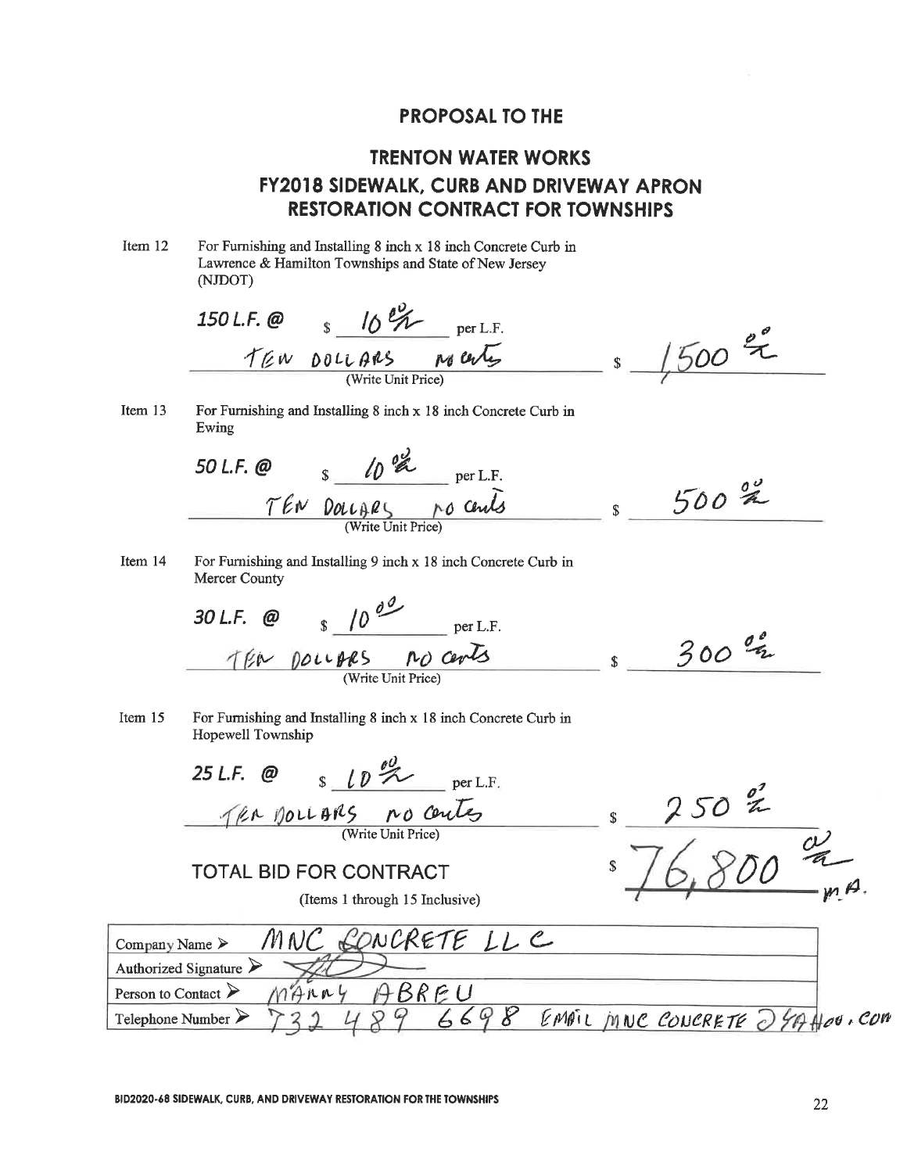# **TRENTON WATER WORKS FY2018 SIDEWALK, CURB AND DRIVEWAY APRON RESTORATION CONTRACT FOR TOWNSHIPS**

Item 12 For Furnishing and Installing 8 inch x 18 inch Concrete Curb in Lawrence & Hamilton Townships and State of New Jersey

|                                    | (NJDOT)                                                                              |                                 |
|------------------------------------|--------------------------------------------------------------------------------------|---------------------------------|
|                                    | 150 L.F. @ $\frac{10^{6} \text{K}}{10^{6} \text{K}}$<br>per L.F.                     |                                 |
|                                    | no certes<br>TEN DOLLARS                                                             | $1500$ %<br>\$                  |
|                                    | (Write Unit Price)                                                                   |                                 |
| Item 13                            | For Furnishing and Installing 8 inch x 18 inch Concrete Curb in<br>Ewing             |                                 |
|                                    | 50 L.F. $\omega$ s $\omega$ $\alpha$ per L.F.                                        |                                 |
|                                    | TEN DOLLARS NO Cents                                                                 | $500 \frac{80}{20}$<br>\$       |
| Item 14                            | For Furnishing and Installing 9 inch x 18 inch Concrete Curb in<br>Mercer County     |                                 |
|                                    | 30 L.F. @ $\frac{10^{9} \text{ m}}{10^{9} \text{ m}}$ per L.F.                       |                                 |
|                                    | TEN DOLLARS NO cents<br>(Write Unit Price)                                           | $300\frac{q}{q}$<br>$\mathbf S$ |
| Item 15                            | For Furnishing and Installing 8 inch x 18 inch Concrete Curb in<br>Hopewell Township |                                 |
|                                    | 25 L.F. $\omega$ s $\ell \nu \ll 1$ per L.F.                                         |                                 |
|                                    | TRA MOLLARS no centes                                                                | \$                              |
|                                    | <b>TOTAL BID FOR CONTRACT</b>                                                        |                                 |
|                                    | (Items 1 through 15 Inclusive)                                                       |                                 |
| Company Name $\triangleright$      | MNC CONCRETE LL C                                                                    |                                 |
|                                    | Authorized Signature $\triangleright$                                                |                                 |
| Person to Contact $\triangleright$ | ABREU<br>$M+A\wedge\wedge\vee$                                                       |                                 |
| Telephone Number $\triangleright$  | 6698                                                                                 | EMPIL MNC CONCRETE 24A Hou. COM |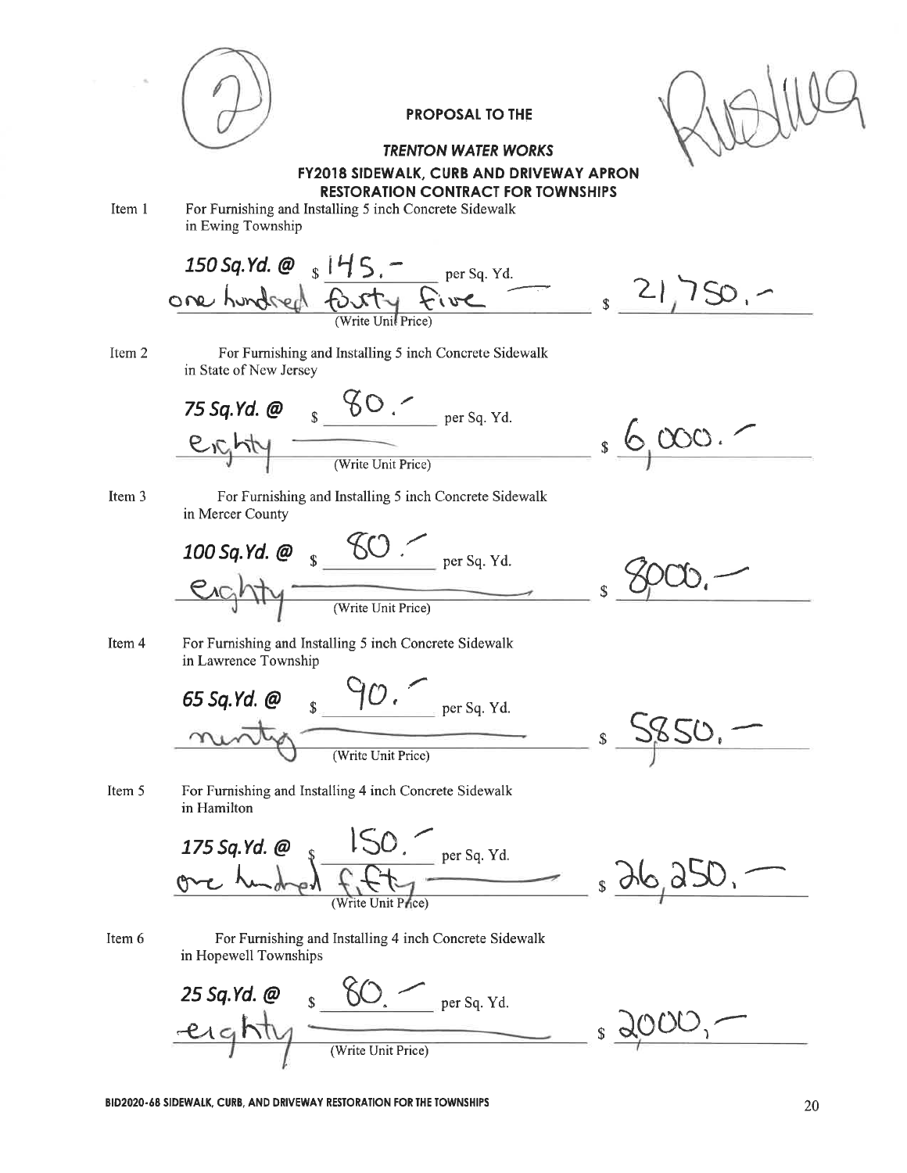

### **TRENTON WATER WORKS FY2018 SIDEWALK, CURB AND DRIVEWAY APRON RESTORATION CONTRACT FOR TOWNSHIPS**

Item 1

For Furnishing and Installing 5 inch Concrete Sidewalk in Ewing Township

150 Sq. Yd. @ s 145. - per Sq. Yd.  $321750 -$ Item 2 For Furnishing and Installing 5 inch Concrete Sidewalk in State of New Jersey 75 Sq. Yd. @  $S^{\circ}$  SO.  $\sim$  per Sq. Yd.  $\frac{10000}{1000}$ Item 3 For Furnishing and Installing 5 inch Concrete Sidewalk in Mercer County **100 Sq. Yd.**  $\omega$  s  $\frac{60}{s}$   $\frac{60}{s}$  per Sq. Yd. enghty (Write Unit Price) Item 4 For Furnishing and Installing 5 inch Concrete Sidewalk in Lawrence Township 65 Sq.Yd. @  $\frac{90}{100}$  per Sq. Yd. 2850.  $\hat{\mathbb{S}}$ (Write Unit Price) Item 5 For Furnishing and Installing 4 inch Concrete Sidewalk in Hamilton  $\frac{150}{f_1 f_2}$  per Sq. Yd. 175 Sq.Yd. @  $s\Delta$ 6, 250, Item 6 For Furnishing and Installing 4 inch Concrete Sidewalk in Hopewell Townships 25 Sq.Yd. @  $2000$ eighty  $\hat{\mathbf{S}}$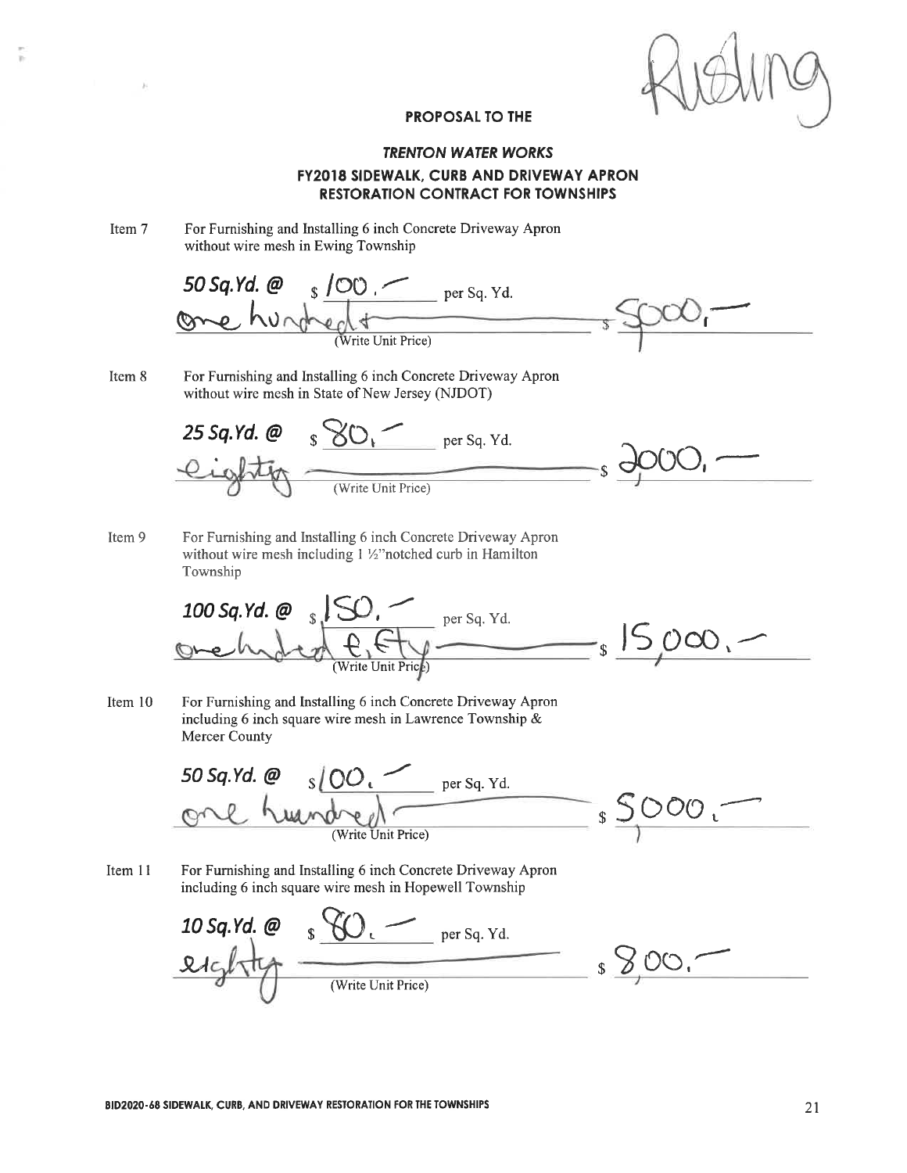### **TRENTON WATER WORKS FY2018 SIDEWALK, CURB AND DRIVEWAY APRON RESTORATION CONTRACT FOR TOWNSHIPS**

Item 7 For Furnishing and Installing 6 inch Concrete Driveway Apron without wire mesh in Ewing Township

50 Sq. Yd. @ \$ 100. per Sq. Yd.  $\mathbf{r}$ 

Item 8 For Furnishing and Installing 6 inch Concrete Driveway Apron without wire mesh in State of New Jersey (NJDOT)

25 Sq.Yd. @  $\sqrt{s}$  SO, Per Sq. Yd.  $(Write Unit Price)$ 

Item 9 For Furnishing and Installing 6 inch Concrete Driveway Apron without wire mesh including 1 1/2" notched curb in Hamilton Township

100 Sq. Yd. @ s SO, Versq. Yd.<br>One hydred  $f. f \downarrow \longrightarrow$  s SOO, V

For Furnishing and Installing 6 inch Concrete Driveway Apron Item 10 including 6 inch square wire mesh in Lawrence Township & **Mercer County** 

<u>O sloo.</u> per sq. Yd.<br>
humdred Finit Price) s SDOO. 50 Sq.Yd. @

For Furnishing and Installing 6 inch Concrete Driveway Apron Item 11 including 6 inch square wire mesh in Hopewell Township

10 Sq. Yd. @  $S\vee C$ . per Sq. Yd.  $\frac{1}{2}$   $\frac{1}{2}$  00.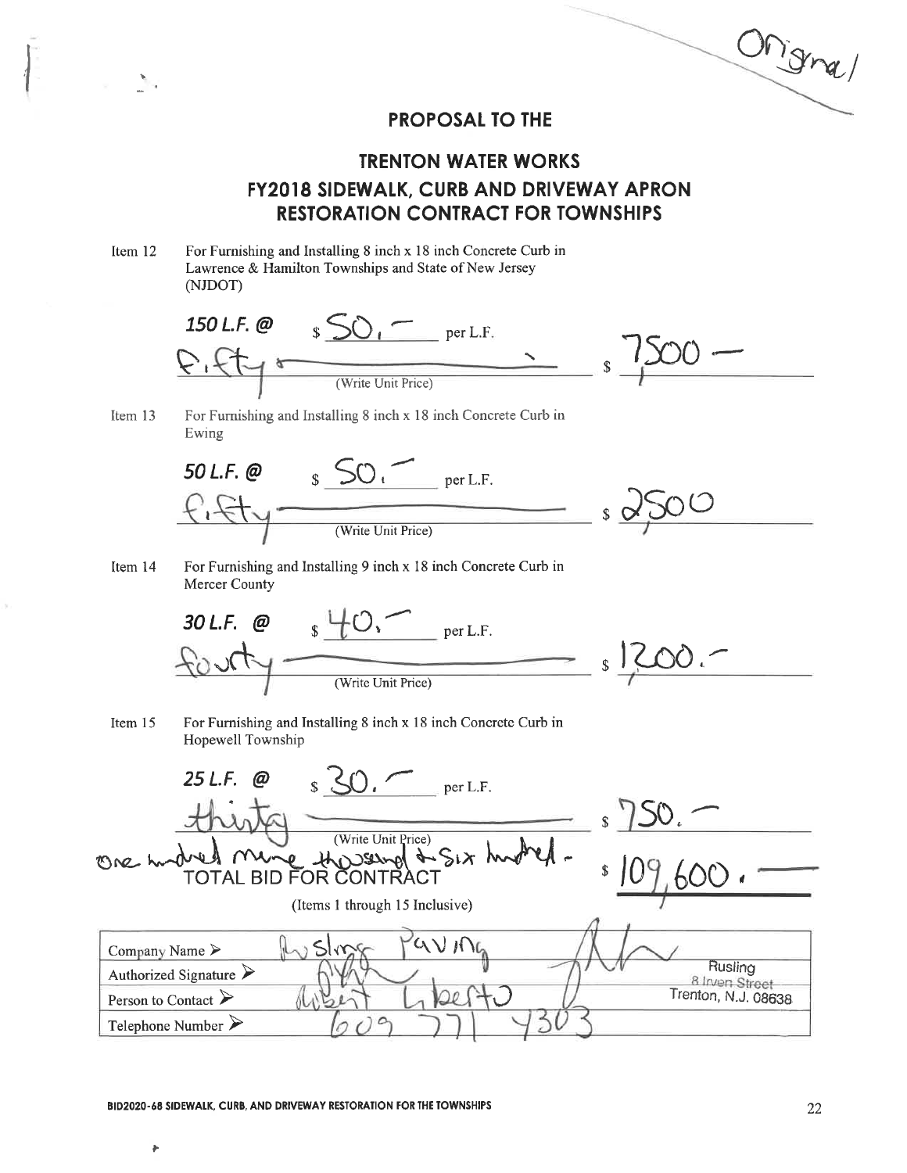Ongra/

# **TRENTON WATER WORKS FY2018 SIDEWALK, CURB AND DRIVEWAY APRON RESTORATION CONTRACT FOR TOWNSHIPS**

Item 12

 $\mathbf{y} = \mathbf{y}$ 

For Furnishing and Installing 8 inch x 18 inch Concrete Curb in Lawrence & Hamilton Townships and State of New Jersey (NJDOT)





For Furnishing and Installing 8 inch x 18 inch Concrete Curb in Ewing



Item 14 For Furnishing and Installing 9 inch x 18 inch Concrete Curb in Mercer County



Item 15 For Furnishing and Installing 8 inch x 18 inch Concrete Curb in Hopewell Township



Ł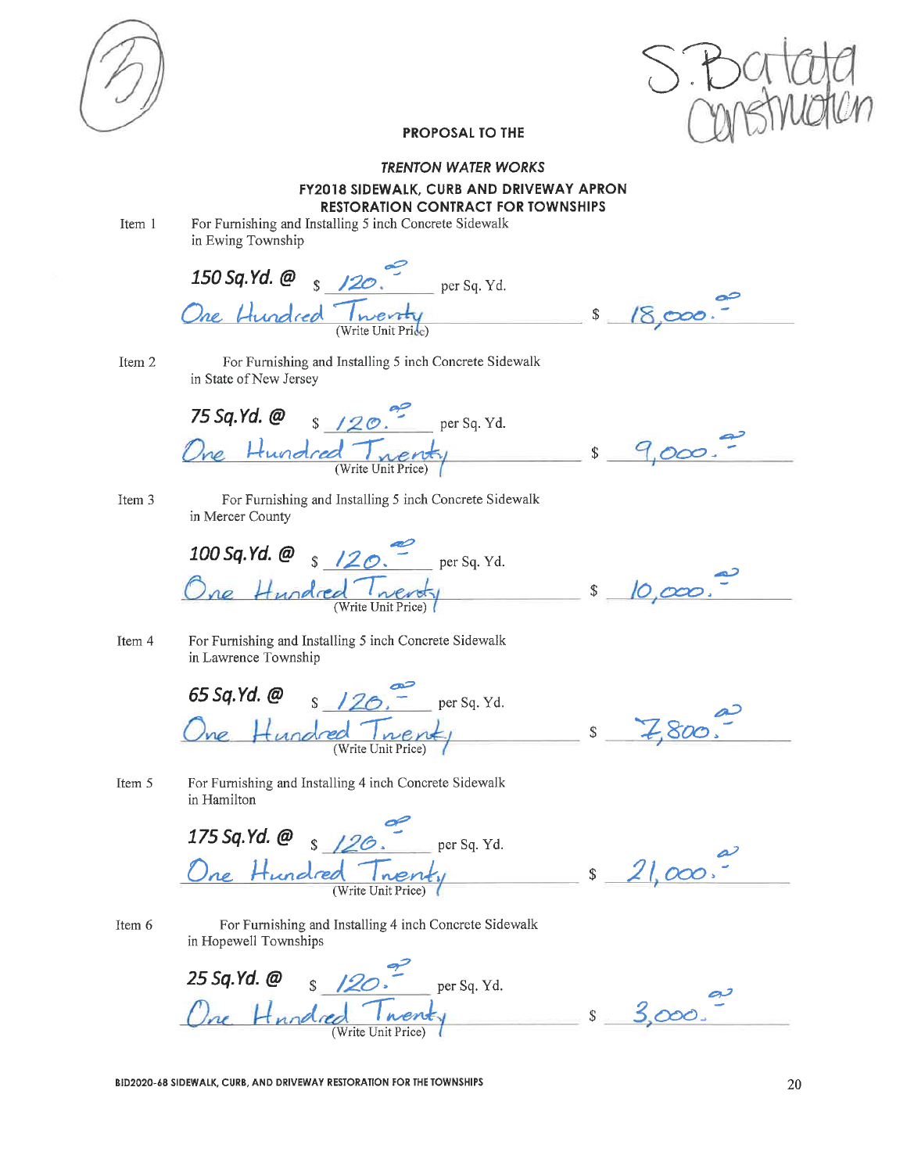

#### **TRENTON WATER WORKS**

**FY2018 SIDEWALK, CURB AND DRIVEWAY APRON** 

**RESTORATION CONTRACT FOR TOWNSHIPS** 

Item 1

For Furnishing and Installing 5 inch Concrete Sidewalk in Ewing Township

150 Sq. Yd. @  $\frac{150 \text{ sq. Yd.}}{9}$  per Sq. Yd. One Hundred Twenty  $s_{18000}$ . For Furnishing and Installing 5 inch Concrete Sidewalk Item 2 in State of New Jersey 75 Sq.Yd.  $\omega$  s /20. per Sq. Yd. One Hundred Tnenty \$ 9,000. For Furnishing and Installing 5 inch Concrete Sidewalk Item 3 in Mercer County 100 Sq.Yd. @  $\frac{120}{\text{eV}}$  per Sq. Yd. One Hundred Twenty \$ 10,000. Item 4 For Furnishing and Installing 5 inch Concrete Sidewalk in Lawrence Township 65 Sq.Yd. @  $s$  /20. per Sq. Yd. One Hundred Twenty  $s = 7,800$ Item 5 For Furnishing and Installing 4 inch Concrete Sidewalk in Hamilton 175 Sq. Yd. @  $\frac{9}{\sqrt{26}}$  per Sq. Yd. One Hundred Twenty  $$21,000.7$ For Furnishing and Installing 4 inch Concrete Sidewalk Item 6 in Hopewell Townships 25 Sq. Yd. @  $\frac{9}{\text{S}}$  /20. per Sq. Yd. One Hundred Twenty  $s<sup>3</sup>$ 000

BID2020-68 SIDEWALK, CURB, AND DRIVEWAY RESTORATION FOR THE TOWNSHIPS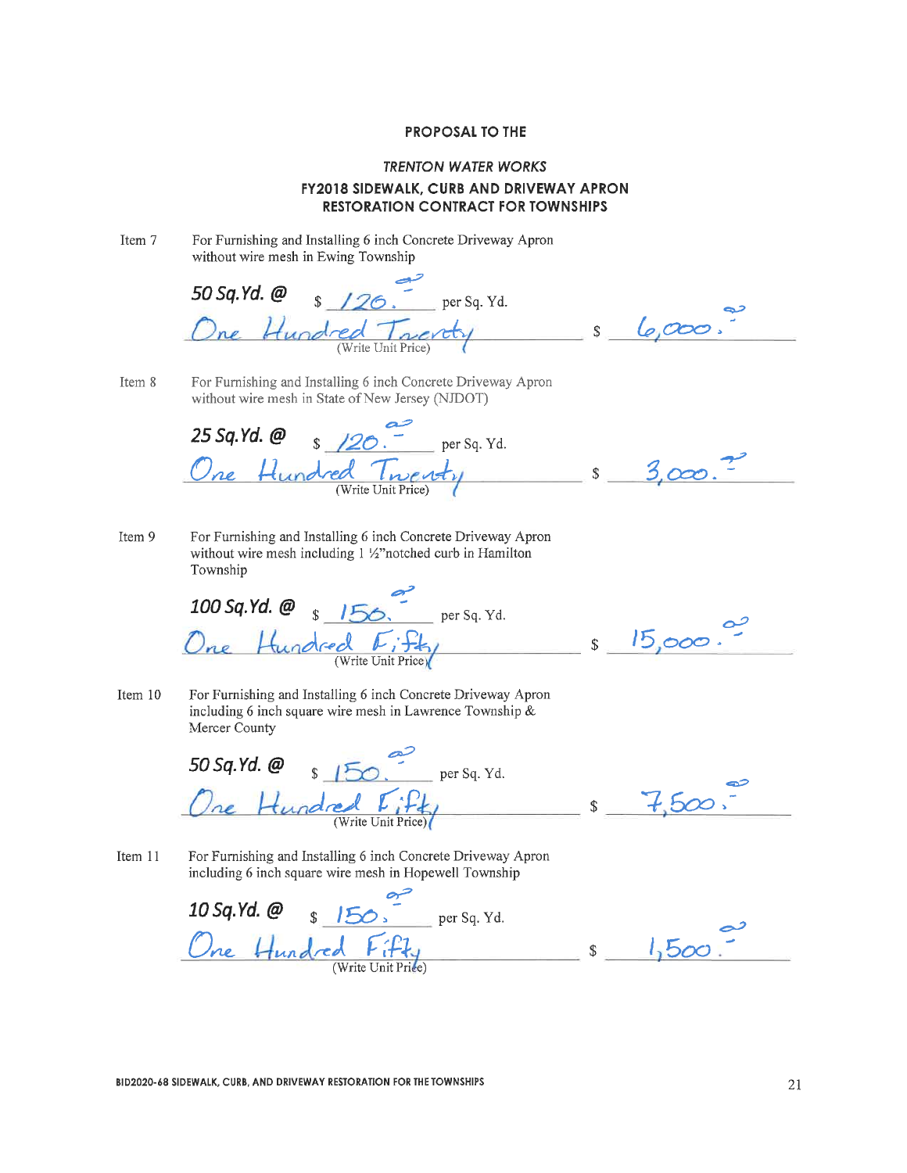### **TRENTON WATER WORKS FY2018 SIDEWALK, CURB AND DRIVEWAY APRON RESTORATION CONTRACT FOR TOWNSHIPS**

For Furnishing and Installing 6 inch Concrete Driveway Apron Item 7 without wire mesh in Ewing Township

 $\sqrt{26}$ , per Sq. Yd. 50 Sq.Yd. @  $s_{\theta,000}$ ne Hundred Tractly

For Furnishing and Installing 6 inch Concrete Driveway Apron Item 8 without wire mesh in State of New Jersey (NJDOT)

 $\sqrt{20}$   $\frac{20}{\pi}$  per Sq. Yd. 25 Sq.Yd. @ Hundred Twenty S  $3,000.7$ 

Item 9 For Furnishing and Installing 6 inch Concrete Driveway Apron without wire mesh including 1 1/2" notched curb in Hamilton Township

100 Sq.Yd. @  $\frac{156}{\sqrt{2}}$  per Sq. Yd. One Hundred Eifty

 $15,000.$  $\sim$  \$

Item 10 For Furnishing and Installing 6 inch Concrete Driveway Apron including 6 inch square wire mesh in Lawrence Township  $\&$ Mercer County

50 Sq.Yd.  $\omega$  s  $150$   $\omega$  per Sq. Yd. Hundred [ifty

 $\mathsf{S}$ 

For Furnishing and Installing 6 inch Concrete Driveway Apron Item 11 including 6 inch square wire mesh in Hopewell Township

10 Sq. Yd. @  $s$  150.  $r$  per Sq. Yd.<br>One Hundred Fifty  $\frac{1}{r}$  s  $1,500$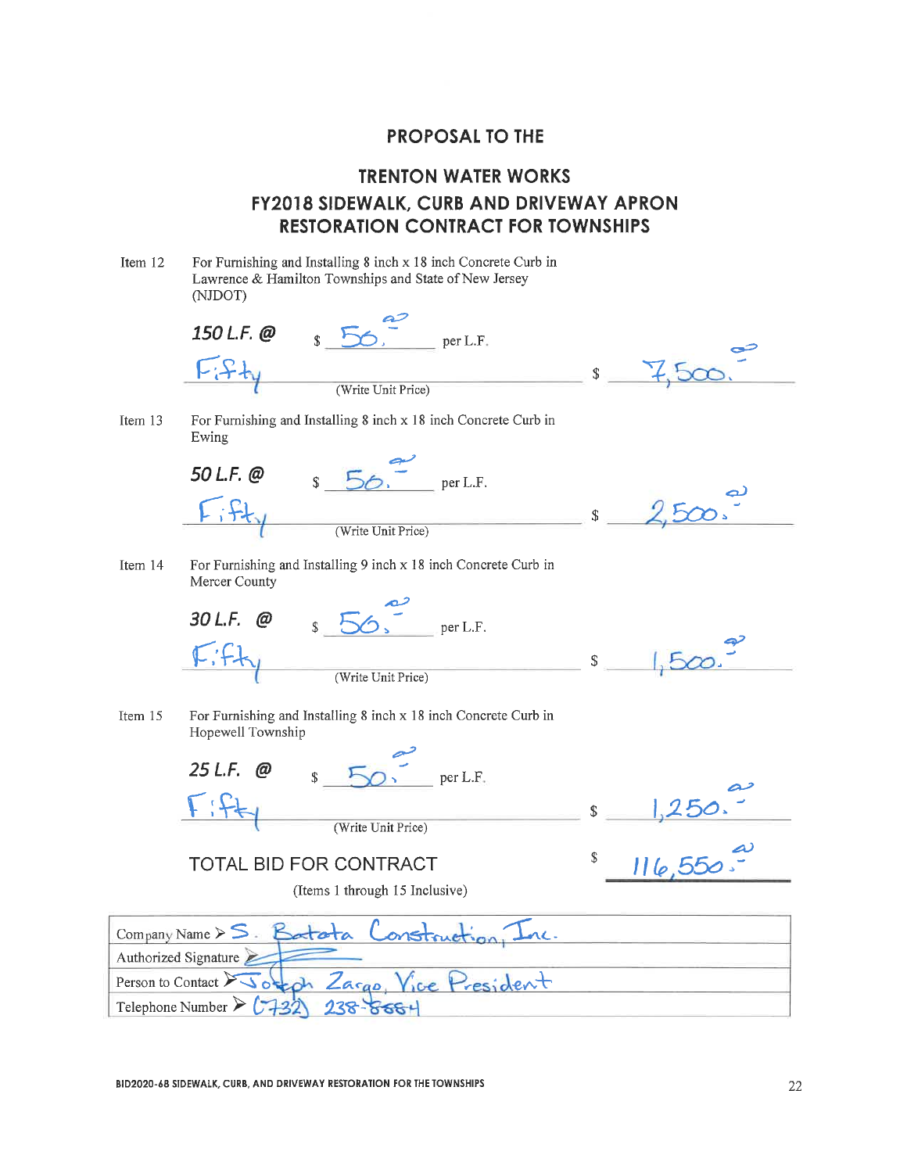# **TRENTON WATER WORKS FY2018 SIDEWALK, CURB AND DRIVEWAY APRON RESTORATION CONTRACT FOR TOWNSHIPS**

| Item 12 | For Furnishing and Installing 8 inch x 18 inch Concrete Curb in<br>Lawrence & Hamilton Townships and State of New Jersey<br>(NJDOT) |              |  |
|---------|-------------------------------------------------------------------------------------------------------------------------------------|--------------|--|
|         | 150 L.F. @<br>$\mathbf{\hat{S}}$<br>per L.F.                                                                                        |              |  |
|         | じとた<br>(Write Unit Price)                                                                                                           | \$           |  |
| Item 13 | For Furnishing and Installing 8 inch x 18 inch Concrete Curb in<br>Ewing                                                            |              |  |
|         | 50 L.F. @<br>$\mathbb{S}$<br>per L.F.                                                                                               |              |  |
|         | (Write Unit Price)                                                                                                                  | $\mathbb{S}$ |  |
| Item 14 | For Furnishing and Installing 9 inch x 18 inch Concrete Curb in<br>Mercer County                                                    |              |  |
|         | 30 L.F. @<br>Š.<br>per L.F.                                                                                                         |              |  |
|         | (Write Unit Price)                                                                                                                  | $\mathbb S$  |  |
| Item 15 | For Furnishing and Installing 8 inch x 18 inch Concrete Curb in<br>Hopewell Township                                                |              |  |
|         | 25 L.F.<br>@<br>per L.F.                                                                                                            |              |  |
|         | (Write Unit Price)                                                                                                                  | $\mathbb{S}$ |  |
|         | TOTAL BID FOR CONTRACT                                                                                                              | \$           |  |
|         | (Items 1 through 15 Inclusive)                                                                                                      |              |  |
|         | Company Name $S.$ Batata<br>onstruction                                                                                             |              |  |
|         | Authorized Signature                                                                                                                |              |  |
|         | Person to Contact $\sqrt{3}$ otech Zargo, Vice President                                                                            |              |  |
|         | Telephone Number $\triangleright$ (732)<br>$238 - 858 +$                                                                            |              |  |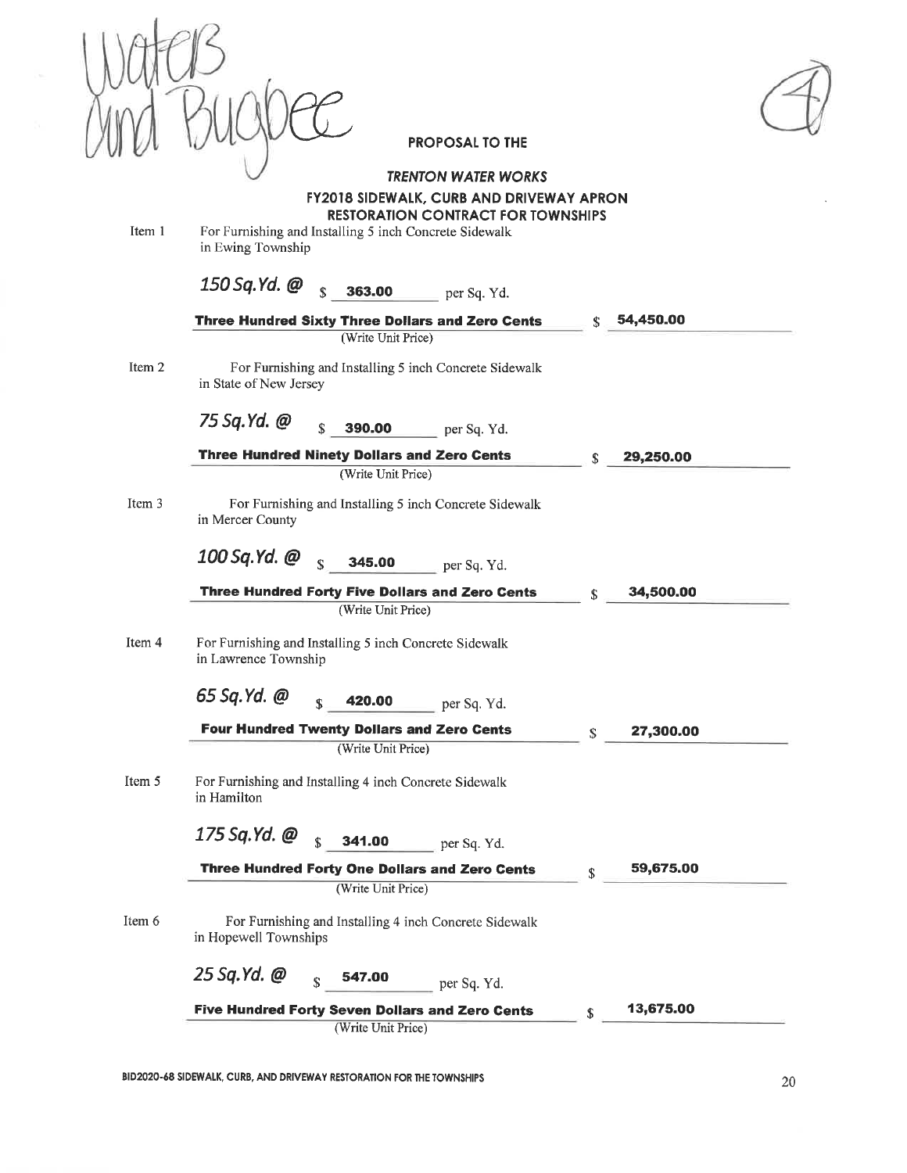**PROPOSAL TO THE TRENTON WATER WORKS FY2018 SIDEWALK, CURB AND DRIVEWAY APRON RESTORATION CONTRACT FOR TOWNSHIPS** Item 1 For Furnishing and Installing 5 inch Concrete Sidewalk in Ewing Township 150 Sq.Yd. @  $\hat{\mathbf{r}}$ 363.00 per Sq. Yd. 54,450.00 **Three Hundred Sixty Three Dollars and Zero Cents** (Write Unit Price) For Furnishing and Installing 5 inch Concrete Sidewalk Item 2 in State of New Jersey 75 Sq.Yd. @  $\hat{\mathbf{x}}$ 390.00  $=$  per Sq. Yd. Three Hundred Ninety Dollars and Zero Cents 29,250.00 (Write Unit Price) Item 3 For Furnishing and Installing 5 inch Concrete Sidewalk in Mercer County 100 Sq.Yd. @ 345.00 per Sq. Yd. Three Hundred Forty Five Dollars and Zero Cents 34.500.00  $\mathbf S$ (Write Unit Price) For Furnishing and Installing 5 inch Concrete Sidewalk Item 4 in Lawrence Township 65 Sq.Yd. @ 420.00 per Sq. Yd. **Four Hundred Twenty Dollars and Zero Cents** 27,300.00 S (Write Unit Price) Item 5 For Furnishing and Installing 4 inch Concrete Sidewalk in Hamilton 175 Sq.Yd. @  $\hat{\mathbf{x}}$ 341.00 per Sq. Yd. Three Hundred Forty One Dollars and Zero Cents 59,675.00 (Write Unit Price) Item 6 For Furnishing and Installing 4 inch Concrete Sidewalk in Hopewell Townships 25 Sq.Yd. @ 547.00  $\hat{\mathbf{x}}$ per Sq. Yd. 13,675.00 Five Hundred Forty Seven Dollars and Zero Cents  $\mathbf{s}$ 

(Write Unit Price)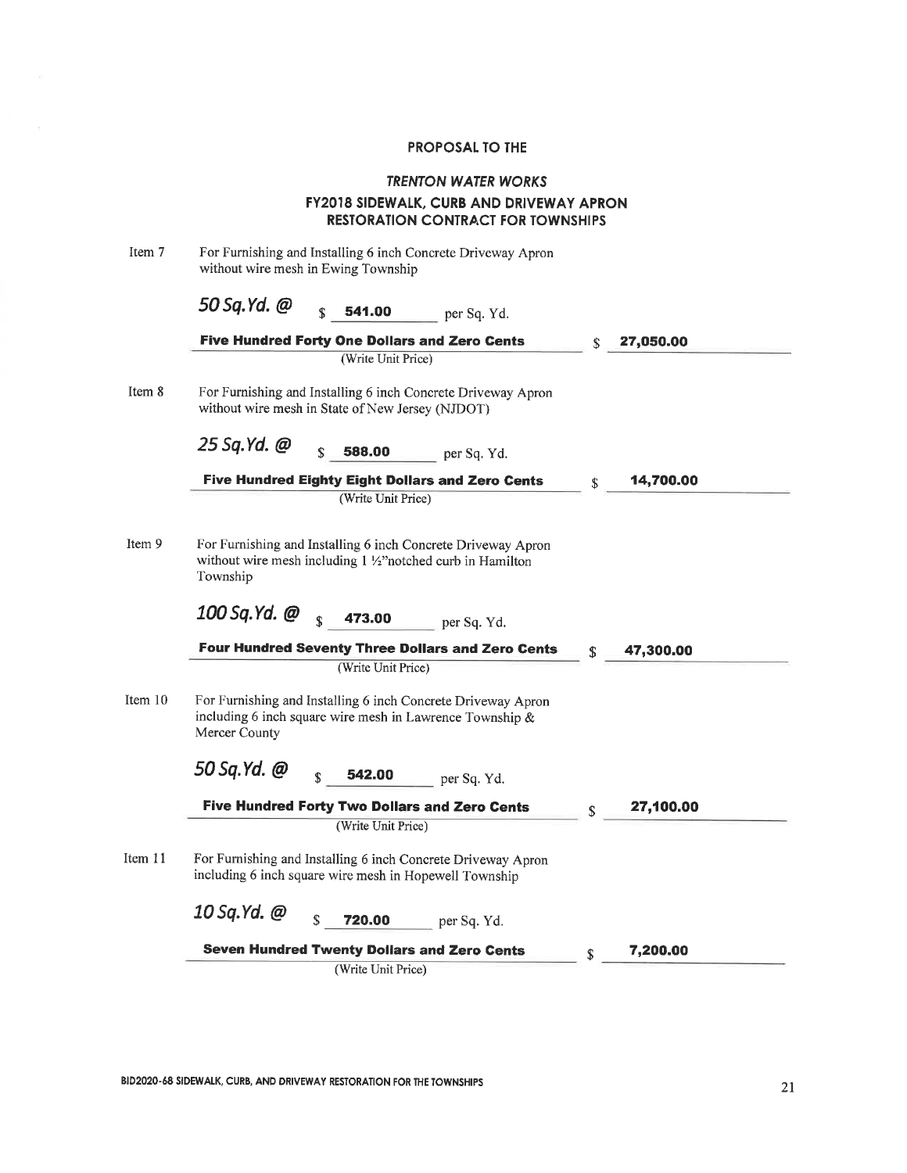## **TRENTON WATER WORKS** FY2018 SIDEWALK, CURB AND DRIVEWAY APRON **RESTORATION CONTRACT FOR TOWNSHIPS**

| For Furnishing and Installing 6 inch Concrete Driveway Apron<br>without wire mesh in Ewing Township                                       |             |           |
|-------------------------------------------------------------------------------------------------------------------------------------------|-------------|-----------|
| 50 Sq.Yd. @<br>ፍ<br>541.00<br>per Sq. Yd.                                                                                                 |             |           |
| <b>Five Hundred Forty One Dollars and Zero Cents</b>                                                                                      |             | 27,050.00 |
| (Write Unit Price)                                                                                                                        |             |           |
| For Furnishing and Installing 6 inch Concrete Driveway Apron<br>without wire mesh in State of New Jersey (NJDOT)                          |             |           |
| 25 Sq.Yd. @<br>588,00<br>per Sq. Yd.                                                                                                      |             |           |
| <b>Five Hundred Eighty Eight Dollars and Zero Cents</b>                                                                                   | \$          | 14,700.00 |
| (Write Unit Price)                                                                                                                        |             |           |
| For Furnishing and Installing 6 inch Concrete Driveway Apron<br>without wire mesh including 1 1/2" notched curb in Hamilton<br>Township   |             |           |
| 100 Sq.Yd. @<br>$\mathbf{C}$<br>473.00<br>per Sq. Yd.                                                                                     |             |           |
| <b>Four Hundred Seventy Three Dollars and Zero Cents</b>                                                                                  | \$          | 47,300.00 |
| (Write Unit Price)                                                                                                                        |             |           |
| For Furnishing and Installing 6 inch Concrete Driveway Apron<br>including 6 inch square wire mesh in Lawrence Township &<br>Mercer County |             |           |
| 50 Sq.Yd. @<br>542.00<br>per Sq. Yd.                                                                                                      |             |           |
| <b>Five Hundred Forty Two Dollars and Zero Cents</b>                                                                                      | $\mathbf S$ | 27,100.00 |
| (Write Unit Price)                                                                                                                        |             |           |
| For Furnishing and Installing 6 inch Concrete Driveway Apron<br>including 6 inch square wire mesh in Hopewell Township                    |             |           |
| 10 Sq.Yd. @<br>\$<br>720.00<br>per Sq. Yd.                                                                                                |             |           |
| <b>Seven Hundred Twenty Dollars and Zero Cents</b>                                                                                        | \$          | 7,200.00  |
| (Write Unit Price)                                                                                                                        |             |           |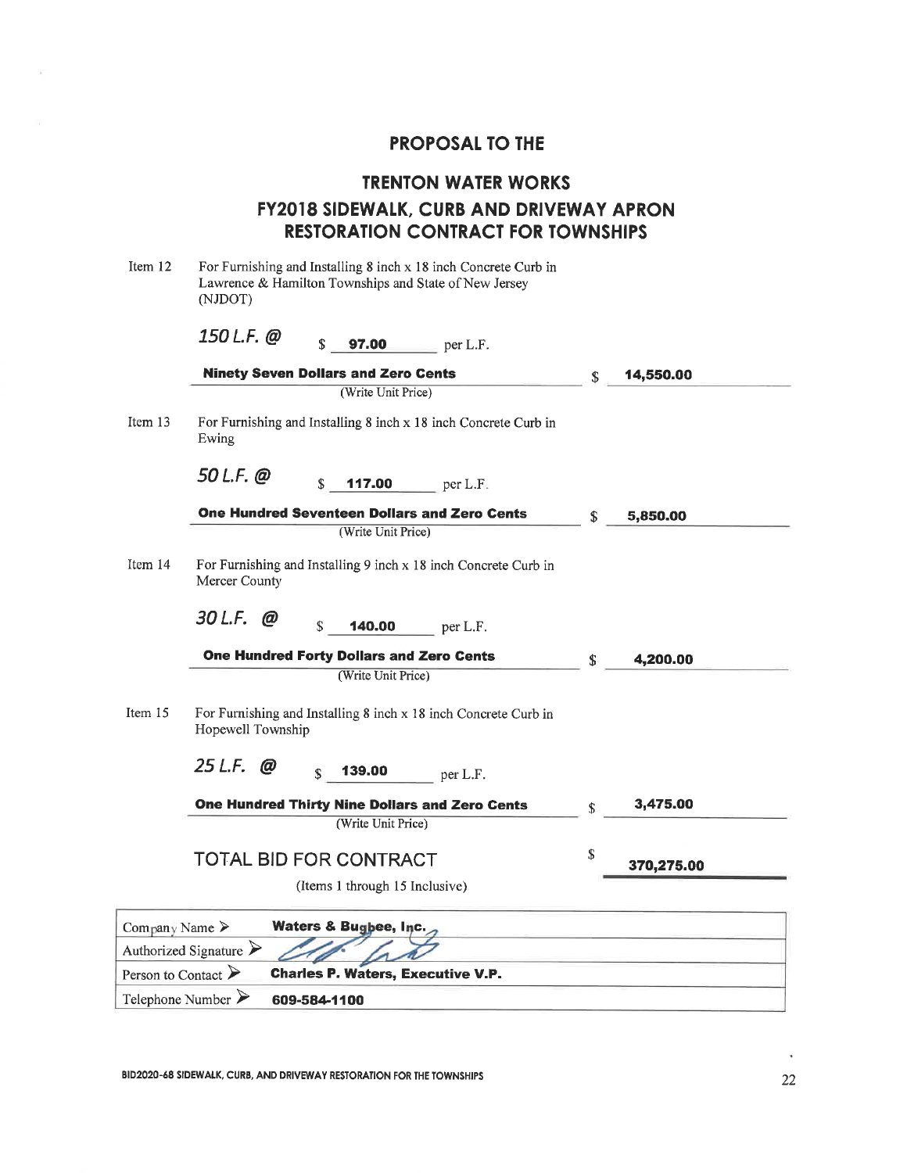|                                    | <b>TRENTON WATER WORKS</b>                                                                                                          |     |            |
|------------------------------------|-------------------------------------------------------------------------------------------------------------------------------------|-----|------------|
|                                    | FY2018 SIDEWALK, CURB AND DRIVEWAY APRON                                                                                            |     |            |
|                                    | <b>RESTORATION CONTRACT FOR TOWNSHIPS</b>                                                                                           |     |            |
| Item 12                            | For Furnishing and Installing 8 inch x 18 inch Concrete Curb in<br>Lawrence & Hamilton Townships and State of New Jersey<br>(NJDOT) |     |            |
|                                    | 150 L.F. @<br>S<br><b>97.00</b> $per L.F.$                                                                                          |     |            |
|                                    | <b>Ninety Seven Dollars and Zero Cents</b>                                                                                          | \$. | 14,550.00  |
|                                    | (Write Unit Price)                                                                                                                  |     |            |
| Item 13                            | For Furnishing and Installing 8 inch x 18 inch Concrete Curb in<br>Ewing                                                            |     |            |
|                                    | $50$ L.F. $@$<br>$\mathbf{s}$<br><b>117.00</b> $per L.F.$                                                                           |     |            |
|                                    | One Hundred Seventeen Dollars and Zero Cents                                                                                        | \$  | 5,850.00   |
|                                    | (Write Unit Price)                                                                                                                  |     |            |
| Item $14$                          | For Furnishing and Installing 9 inch x 18 inch Concrete Curb in<br>Mercer County                                                    |     |            |
|                                    | 30 L.F. @<br>S<br><b>140.00</b> per L.F.                                                                                            |     |            |
|                                    | <b>One Hundred Forty Dollars and Zero Cents</b>                                                                                     | \$  | 4,200.00   |
|                                    | (Write Unit Price)                                                                                                                  |     |            |
| Item 15                            | For Furnishing and Installing 8 inch x 18 inch Concrete Curb in<br>Hopewell Township                                                |     |            |
|                                    | $25$ L.F. @<br>139.00<br>S<br>per L.F.                                                                                              |     |            |
|                                    | One Hundred Thirty Nine Dollars and Zero Cents                                                                                      | \$  | 3,475.00   |
|                                    | (Write Unit Price)                                                                                                                  |     |            |
|                                    | <b>TOTAL BID FOR CONTRACT</b>                                                                                                       | \$  | 370,275.00 |
|                                    | (Items 1 through 15 Inclusive)                                                                                                      |     |            |
| Company Name >                     | <b>Waters &amp; Bugbee, Inc.</b>                                                                                                    |     |            |
|                                    | Authorized Signature $\triangleright$                                                                                               |     |            |
| Person to Contact $\triangleright$ | <b>Charles P. Waters, Executive V.P.</b>                                                                                            |     |            |
| Telephone Number $\triangleright$  | 609-584-1100                                                                                                                        |     |            |

BID2020-68 SIDEWALK, CURB, AND DRIVEWAY RESTORATION FOR THE TOWNSHIPS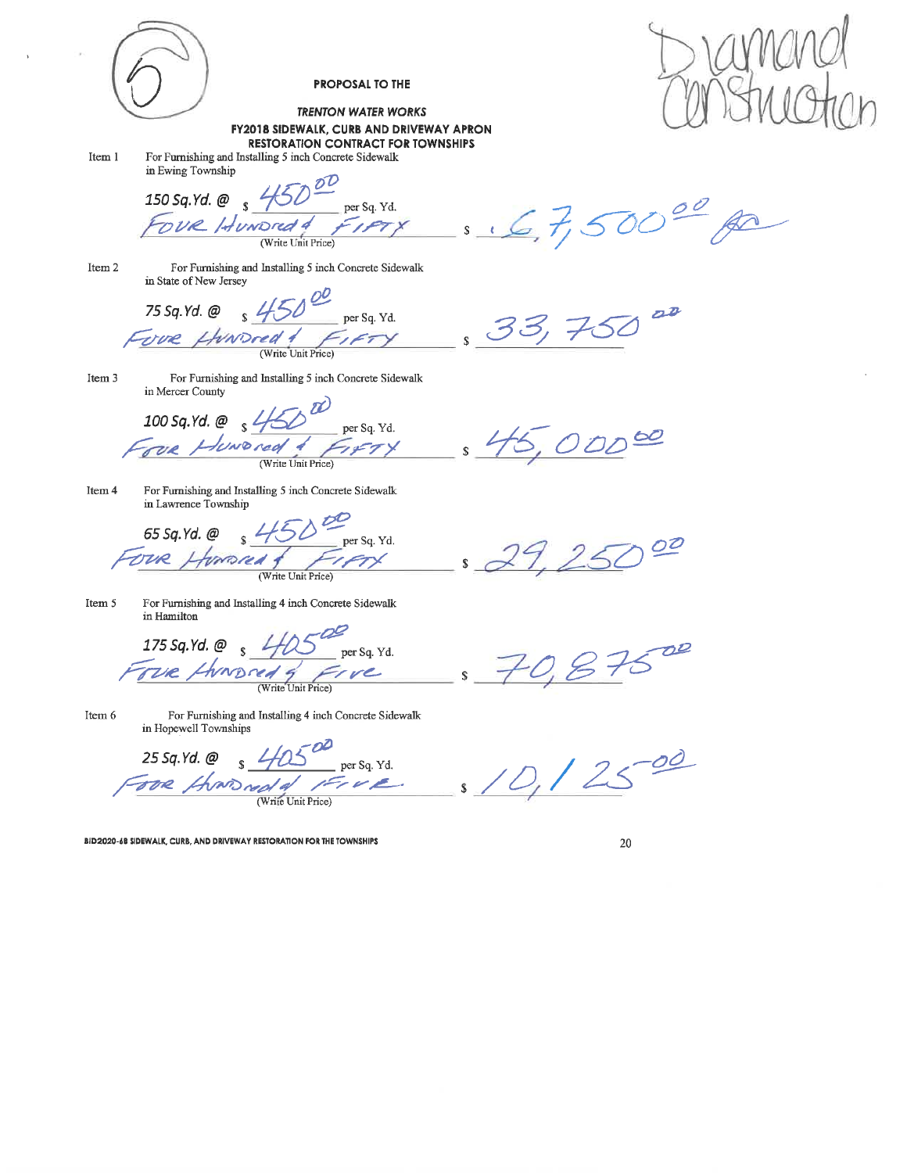**PROPOSAL TO THE TRENTON WATER WORKS** FY2018 SIDEWALK, CURB AND DRIVEWAY APRON RESTORATION CONTRACT FOR TOWNSHIPS Item 1 For Furnishing and Installing 5 inch Concrete Sidewalk in Ewing Township 150 Sq. Yd. @ 5 450<br>Fove Idundred 4  $T_{\text{per sq. Yd.}}$ <br>FIFTY  $s \triangle C$ , 7, 500<sup>00</sup> (Write Unit Price) For Furnishing<br>in State of New Jersey<br>75 Sq. Yd. @ s 450 per Sq. Yd. For Furnishing and Installing 5 inch Concrete Sidewalk Item 2  $22$  $33,750$ Fore For Furnishing and Installing 5 inch Concrete Sidewalk Item 3 in Mercer County  $\frac{D}{\sqrt{4 \frac{\text{per sq. Yd.}}{\text{per sq. Yd.}}}}$ 100 Sq. Yd. @  $\frac{1}{5}$  4/5  $\underline{\omega}$ Huwored 1 ODD (Write Unit Price) For Furnishing and Installing 5 inch Concrete Sidewalk Item 4 in Lawrence Township  $65$  Sq.Yd. @  $\frac{450}{ }$  $\frac{1}{\sqrt{1-\frac{1}{x}}}\$  $\frac{1}{s}$ 00 Homena DUR. Item 5 For Furnishing and Installing 4 inch Concrete Sidewalk in Hamilton 175 Sq. Yd. @  $4/2$  $\mathcal{D}^{\mathcal{Q}}$  $per Sq. Yd.$ rue Hundred 9 Frve  $\mathbf{s}$ (Write Unit Price) Item 6 For Furnishing and Installing 4 inch Concrete Sidewalk in Hopewell Townships 25 Sq. Yd. @  $s$  40500<br>  $s$  6000 need of 1500 per Sq. Yd.<br>  $s$  6000 need of 1500  $-00$ 

BID2020-6B SIDEWALK, CURB, AND DRIVEWAY RESTORATION FOR THE TOWNSHIPS

20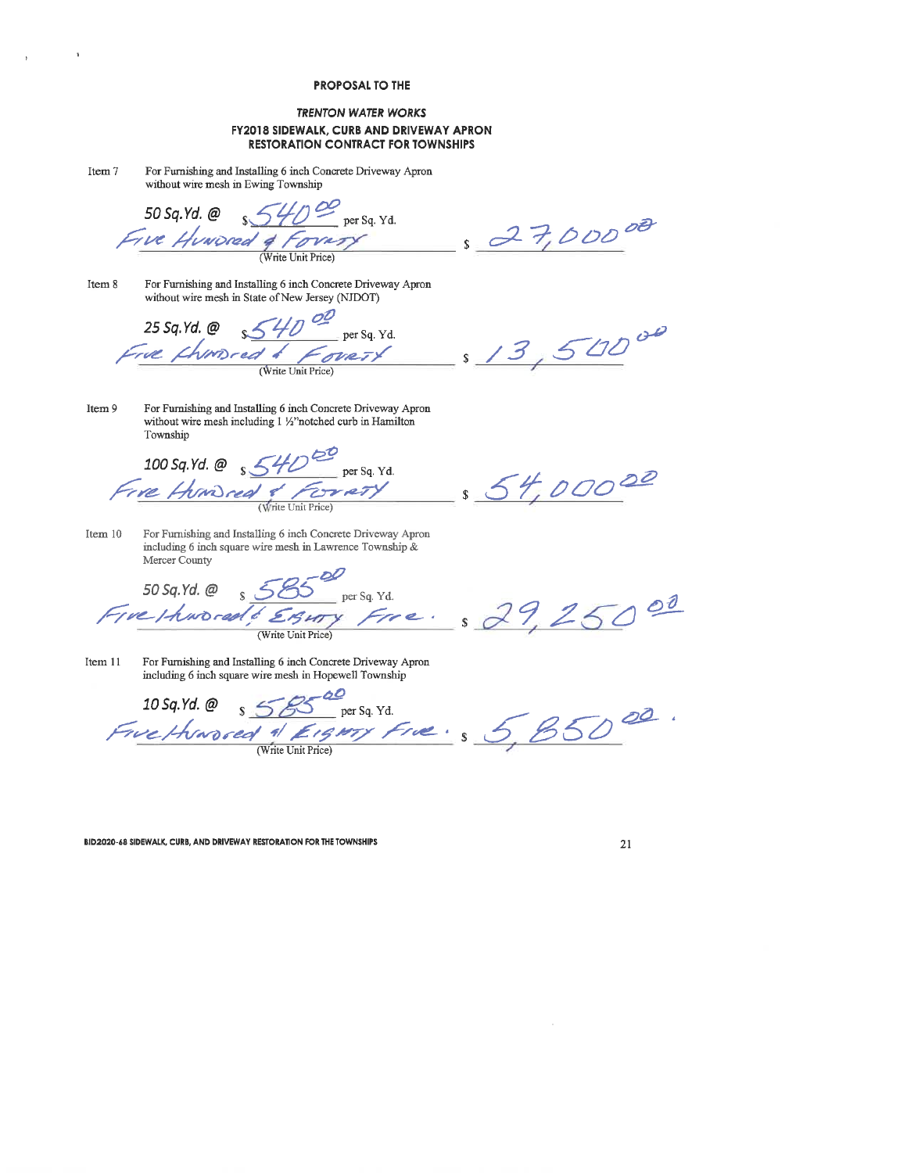#### **TRENTON WATER WORKS FY2018 SIDEWALK, CURB AND DRIVEWAY APRON RESTORATION CONTRACT FOR TOWNSHIPS**

| Item 7 | For Furnishing and Installing 6 inch Concrete Driveway Apron |
|--------|--------------------------------------------------------------|
|        | without wire mesh in Ewing Township                          |

 $\mathbf{r}$ 

 $\bar{Y}$ 

 $\frac{2}{\sqrt{40}}$   $\frac{6}{\sqrt{2}}$  per Sq. Yd. 50 Sq.Yd. @ Five Hundred & Forum (Write Unit Price)

For Furnishing and Installing 6 inch Concrete Driveway Apron Item 8 without wire mesh in State of New Jersey (NJDOT)

25 Sq. Yd. @  $540^{\circ}$  per Sq. Yd.<br> $xe$  from red & Fove TY  $\frac{13,50000}{5}$ Free Chimsred & (Write Unit Price)

For Furnishing and Installing 6 inch Concrete Driveway Apron Item 9 without wire mesh including 1 1/2" notched curb in Hamilton Township

100 Sq. Yd. @  $\frac{540^{60}}{100}$  per Sq. Yd. Errety Fire Humbred &, (Write Unit Price)

\$ 54,00000

 $327,00000$ 

Item  $10$ For Furnishing and Installing 6 inch Concrete Driveway Apron including 6 inch square wire mesh in Lawrence Township  $\&$ Mercer County

 $\sum$  per Sq. Yd. 50 Sq.Yd. @ Five Hundred Essury Free. \$29,25000 (Write Unit Price)

For Furnishing and Installing 6 inch Concrete Driveway Apron Item 11 including 6 inch square wire mesh in Hopewell Township

10 Sq. Yd. @  $\frac{66}{55}$  S Five Hundred of Eighty Five: 5, 5, 85000. (Write Unit Price)

BID2020-68 SIDEWALK, CURB, AND DRIVEWAY RESTORATION FOR THE TOWNSHIPS

21